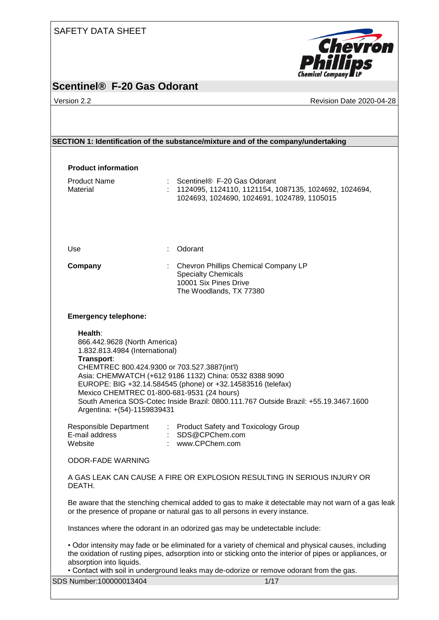#### SAFETY DATA SHEET



# **Scentinel® F-20 Gas Odorant**

Version 2.2 **All 2020-04-28** Revision Date 2020-04-28

| SECTION 1: Identification of the substance/mixture and of the company/undertaking                                                                                                                         |                                                                                                                                                                                                                                                                                                            |  |
|-----------------------------------------------------------------------------------------------------------------------------------------------------------------------------------------------------------|------------------------------------------------------------------------------------------------------------------------------------------------------------------------------------------------------------------------------------------------------------------------------------------------------------|--|
|                                                                                                                                                                                                           |                                                                                                                                                                                                                                                                                                            |  |
| <b>Product information</b>                                                                                                                                                                                |                                                                                                                                                                                                                                                                                                            |  |
| <b>Product Name</b><br>Material                                                                                                                                                                           | Scentinel® F-20 Gas Odorant<br>: 1124095, 1124110, 1121154, 1087135, 1024692, 1024694,<br>1024693, 1024690, 1024691, 1024789, 1105015                                                                                                                                                                      |  |
| Use                                                                                                                                                                                                       | Odorant                                                                                                                                                                                                                                                                                                    |  |
| Company                                                                                                                                                                                                   | : Chevron Phillips Chemical Company LP<br><b>Specialty Chemicals</b><br>10001 Six Pines Drive<br>The Woodlands, TX 77380                                                                                                                                                                                   |  |
| <b>Emergency telephone:</b>                                                                                                                                                                               |                                                                                                                                                                                                                                                                                                            |  |
| 866.442.9628 (North America)<br>1.832.813.4984 (International)<br>Transport:<br>CHEMTREC 800.424.9300 or 703.527.3887(int'l)<br>Mexico CHEMTREC 01-800-681-9531 (24 hours)<br>Argentina: +(54)-1159839431 | Asia: CHEMWATCH (+612 9186 1132) China: 0532 8388 9090<br>EUROPE: BIG +32.14.584545 (phone) or +32.14583516 (telefax)<br>South America SOS-Cotec Inside Brazil: 0800.111.767 Outside Brazil: +55.19.3467.1600                                                                                              |  |
| Responsible Department<br>E-mail address<br>Website                                                                                                                                                       | : Product Safety and Toxicology Group<br>: SDS@CPChem.com<br>: www.CPChem.com                                                                                                                                                                                                                              |  |
| <b>ODOR-FADE WARNING</b>                                                                                                                                                                                  |                                                                                                                                                                                                                                                                                                            |  |
| DEATH.                                                                                                                                                                                                    | A GAS LEAK CAN CAUSE A FIRE OR EXPLOSION RESULTING IN SERIOUS INJURY OR                                                                                                                                                                                                                                    |  |
| Be aware that the stenching chemical added to gas to make it detectable may not warn of a gas leak<br>or the presence of propane or natural gas to all persons in every instance.                         |                                                                                                                                                                                                                                                                                                            |  |
|                                                                                                                                                                                                           | Instances where the odorant in an odorized gas may be undetectable include:                                                                                                                                                                                                                                |  |
|                                                                                                                                                                                                           |                                                                                                                                                                                                                                                                                                            |  |
| absorption into liquids.                                                                                                                                                                                  | • Odor intensity may fade or be eliminated for a variety of chemical and physical causes, including<br>the oxidation of rusting pipes, adsorption into or sticking onto the interior of pipes or appliances, or<br>. Contact with soil in underground leaks may de-odorize or remove odorant from the gas. |  |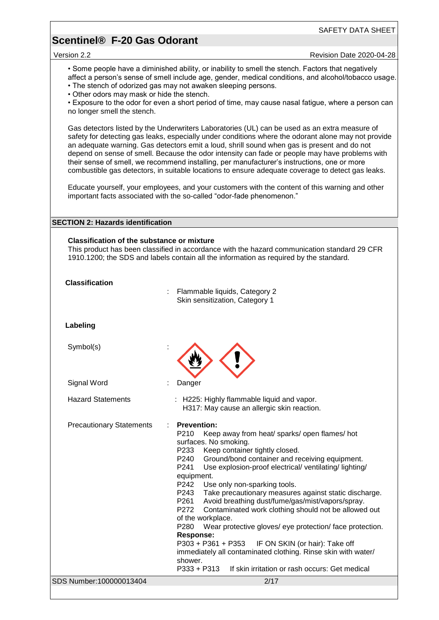#### SAFETY DATA SHEET

#### **Scentinel® F-20 Gas Odorant**

Version 2.2 Revision Date 2020-04-28

• Some people have a diminished ability, or inability to smell the stench. Factors that negatively affect a person's sense of smell include age, gender, medical conditions, and alcohol/tobacco usage. • The stench of odorized gas may not awaken sleeping persons.

• Other odors may mask or hide the stench.

• Exposure to the odor for even a short period of time, may cause nasal fatigue, where a person can no longer smell the stench.

Gas detectors listed by the Underwriters Laboratories (UL) can be used as an extra measure of safety for detecting gas leaks, especially under conditions where the odorant alone may not provide an adequate warning. Gas detectors emit a loud, shrill sound when gas is present and do not depend on sense of smell. Because the odor intensity can fade or people may have problems with their sense of smell, we recommend installing, per manufacturer's instructions, one or more combustible gas detectors, in suitable locations to ensure adequate coverage to detect gas leaks.

Educate yourself, your employees, and your customers with the content of this warning and other important facts associated with the so-called "odor-fade phenomenon."

#### **SECTION 2: Hazards identification**

#### **Classification of the substance or mixture**

This product has been classified in accordance with the hazard communication standard 29 CFR 1910.1200; the SDS and labels contain all the information as required by the standard.

| <b>Classification</b>           | Flammable liquids, Category 2<br>Skin sensitization, Category 1                                                                                                                                                                                                                                                                                                                                                                                                                                                                                                                                                                                                                                                                                                                                                                                                    |
|---------------------------------|--------------------------------------------------------------------------------------------------------------------------------------------------------------------------------------------------------------------------------------------------------------------------------------------------------------------------------------------------------------------------------------------------------------------------------------------------------------------------------------------------------------------------------------------------------------------------------------------------------------------------------------------------------------------------------------------------------------------------------------------------------------------------------------------------------------------------------------------------------------------|
| Labeling                        |                                                                                                                                                                                                                                                                                                                                                                                                                                                                                                                                                                                                                                                                                                                                                                                                                                                                    |
| Symbol(s)                       |                                                                                                                                                                                                                                                                                                                                                                                                                                                                                                                                                                                                                                                                                                                                                                                                                                                                    |
| Signal Word                     | Danger                                                                                                                                                                                                                                                                                                                                                                                                                                                                                                                                                                                                                                                                                                                                                                                                                                                             |
| <b>Hazard Statements</b>        | : H225: Highly flammable liquid and vapor.<br>H317: May cause an allergic skin reaction.                                                                                                                                                                                                                                                                                                                                                                                                                                                                                                                                                                                                                                                                                                                                                                           |
| <b>Precautionary Statements</b> | <b>Prevention:</b><br>÷<br>P210<br>Keep away from heat/ sparks/ open flames/ hot<br>surfaces. No smoking.<br>P233<br>Keep container tightly closed.<br>Ground/bond container and receiving equipment.<br>P240<br>P241<br>Use explosion-proof electrical/ventilating/lighting/<br>equipment.<br>P242<br>Use only non-sparking tools.<br>Take precautionary measures against static discharge.<br>P243<br>Avoid breathing dust/fume/gas/mist/vapors/spray.<br>P261<br>P272<br>Contaminated work clothing should not be allowed out<br>of the workplace.<br>P <sub>280</sub><br>Wear protective gloves/ eye protection/ face protection.<br><b>Response:</b><br>IF ON SKIN (or hair): Take off<br>$P303 + P361 + P353$<br>immediately all contaminated clothing. Rinse skin with water/<br>shower.<br>$P333 + P313$<br>If skin irritation or rash occurs: Get medical |
| SDS Number:100000013404         | 2/17                                                                                                                                                                                                                                                                                                                                                                                                                                                                                                                                                                                                                                                                                                                                                                                                                                                               |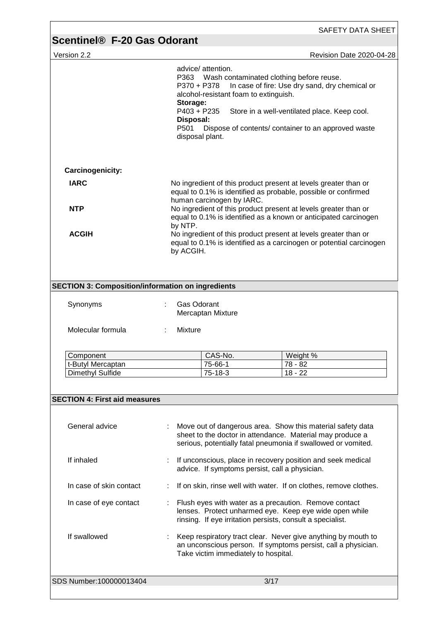| <b>Scentinel<sup>®</sup> F-20 Gas Odorant</b>                        |                                                                                                                                               | SAFETY DATA SHEET                                                                                                                                                                                      |  |
|----------------------------------------------------------------------|-----------------------------------------------------------------------------------------------------------------------------------------------|--------------------------------------------------------------------------------------------------------------------------------------------------------------------------------------------------------|--|
| Version 2.2                                                          |                                                                                                                                               | Revision Date 2020-04-28                                                                                                                                                                               |  |
|                                                                      | advice/ attention.<br>P370 + P378<br>alcohol-resistant foam to extinguish.<br>Storage:<br>P403 + P235<br>Disposal:<br>P501<br>disposal plant. | P363 Wash contaminated clothing before reuse.<br>In case of fire: Use dry sand, dry chemical or<br>Store in a well-ventilated place. Keep cool.<br>Dispose of contents/ container to an approved waste |  |
| Carcinogenicity:                                                     |                                                                                                                                               |                                                                                                                                                                                                        |  |
| <b>IARC</b>                                                          |                                                                                                                                               | No ingredient of this product present at levels greater than or<br>equal to 0.1% is identified as probable, possible or confirmed                                                                      |  |
| <b>NTP</b>                                                           |                                                                                                                                               | human carcinogen by IARC.<br>No ingredient of this product present at levels greater than or<br>equal to 0.1% is identified as a known or anticipated carcinogen                                       |  |
| <b>ACGIH</b>                                                         | by NTP.<br>by ACGIH.                                                                                                                          | No ingredient of this product present at levels greater than or<br>equal to 0.1% is identified as a carcinogen or potential carcinogen                                                                 |  |
| <b>SECTION 3: Composition/information on ingredients</b><br>Synonyms | <b>Gas Odorant</b><br>Mercaptan Mixture                                                                                                       |                                                                                                                                                                                                        |  |
| Molecular formula                                                    | <b>Mixture</b>                                                                                                                                |                                                                                                                                                                                                        |  |
| Component                                                            | CAS-No.                                                                                                                                       | Weight %                                                                                                                                                                                               |  |
| t-Butyl Mercaptan                                                    | 75-66-1                                                                                                                                       | 78 - 82                                                                                                                                                                                                |  |
| Dimethyl Sulfide                                                     | 75-18-3                                                                                                                                       | $18 - 22$                                                                                                                                                                                              |  |
| <b>SECTION 4: First aid measures</b>                                 |                                                                                                                                               |                                                                                                                                                                                                        |  |
| General advice                                                       |                                                                                                                                               | Move out of dangerous area. Show this material safety data<br>sheet to the doctor in attendance. Material may produce a<br>serious, potentially fatal pneumonia if swallowed or vomited.               |  |
| If inhaled                                                           | If unconscious, place in recovery position and seek medical<br>advice. If symptoms persist, call a physician.                                 |                                                                                                                                                                                                        |  |
| In case of skin contact                                              |                                                                                                                                               | If on skin, rinse well with water. If on clothes, remove clothes.                                                                                                                                      |  |
| In case of eye contact                                               |                                                                                                                                               | Flush eyes with water as a precaution. Remove contact<br>lenses. Protect unharmed eye. Keep eye wide open while<br>rinsing. If eye irritation persists, consult a specialist.                          |  |
|                                                                      |                                                                                                                                               |                                                                                                                                                                                                        |  |

SDS Number:100000013404 3/17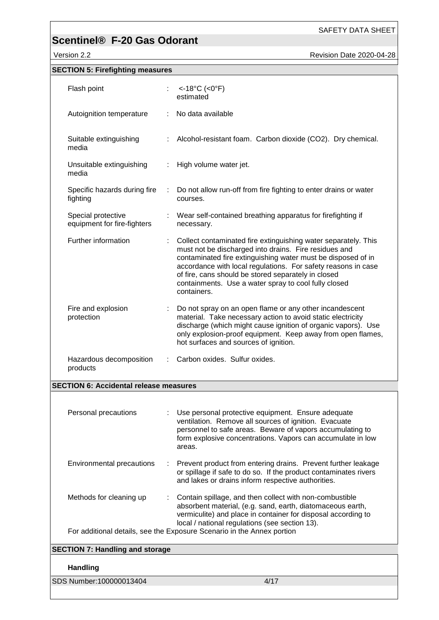Version 2.2 **Accord 2020-04-28** Revision Date 2020-04-28

| <b>SECTION 5: Firefighting measures</b>           |   |                                                                                                                                                                                                                                                                                                                                                                                        |
|---------------------------------------------------|---|----------------------------------------------------------------------------------------------------------------------------------------------------------------------------------------------------------------------------------------------------------------------------------------------------------------------------------------------------------------------------------------|
| Flash point                                       |   | $<$ -18°C (<0°F)<br>estimated                                                                                                                                                                                                                                                                                                                                                          |
| Autoignition temperature                          |   | No data available                                                                                                                                                                                                                                                                                                                                                                      |
| Suitable extinguishing<br>media                   |   | Alcohol-resistant foam. Carbon dioxide (CO2). Dry chemical.                                                                                                                                                                                                                                                                                                                            |
| Unsuitable extinguishing<br>media                 |   | High volume water jet.                                                                                                                                                                                                                                                                                                                                                                 |
| Specific hazards during fire<br>fighting          | ÷ | Do not allow run-off from fire fighting to enter drains or water<br>courses.                                                                                                                                                                                                                                                                                                           |
| Special protective<br>equipment for fire-fighters |   | Wear self-contained breathing apparatus for firefighting if<br>necessary.                                                                                                                                                                                                                                                                                                              |
| Further information                               |   | Collect contaminated fire extinguishing water separately. This<br>must not be discharged into drains. Fire residues and<br>contaminated fire extinguishing water must be disposed of in<br>accordance with local regulations. For safety reasons in case<br>of fire, cans should be stored separately in closed<br>containments. Use a water spray to cool fully closed<br>containers. |
| Fire and explosion<br>protection                  |   | Do not spray on an open flame or any other incandescent<br>material. Take necessary action to avoid static electricity<br>discharge (which might cause ignition of organic vapors). Use<br>only explosion-proof equipment. Keep away from open flames,<br>hot surfaces and sources of ignition.                                                                                        |
| Hazardous decomposition<br>products               |   | Carbon oxides. Sulfur oxides.                                                                                                                                                                                                                                                                                                                                                          |
| <b>SECTION 6: Accidental release measures</b>     |   |                                                                                                                                                                                                                                                                                                                                                                                        |
| Personal precautions                              |   | Use personal protective equipment. Ensure adequate<br>ventilation. Remove all sources of ignition. Evacuate<br>personnel to safe areas. Beware of vapors accumulating to<br>form explosive concentrations. Vapors can accumulate in low<br>areas.                                                                                                                                      |
| Environmental precautions                         | ÷ | Prevent product from entering drains. Prevent further leakage<br>or spillage if safe to do so. If the product contaminates rivers<br>and lakes or drains inform respective authorities.                                                                                                                                                                                                |
| Methods for cleaning up                           |   | Contain spillage, and then collect with non-combustible<br>absorbent material, (e.g. sand, earth, diatomaceous earth,<br>vermiculite) and place in container for disposal according to<br>local / national regulations (see section 13).                                                                                                                                               |
|                                                   |   | For additional details, see the Exposure Scenario in the Annex portion                                                                                                                                                                                                                                                                                                                 |
| <b>SECTION 7: Handling and storage</b>            |   |                                                                                                                                                                                                                                                                                                                                                                                        |
| <b>Handling</b>                                   |   |                                                                                                                                                                                                                                                                                                                                                                                        |
| SDS Number:100000013404                           |   | 4/17                                                                                                                                                                                                                                                                                                                                                                                   |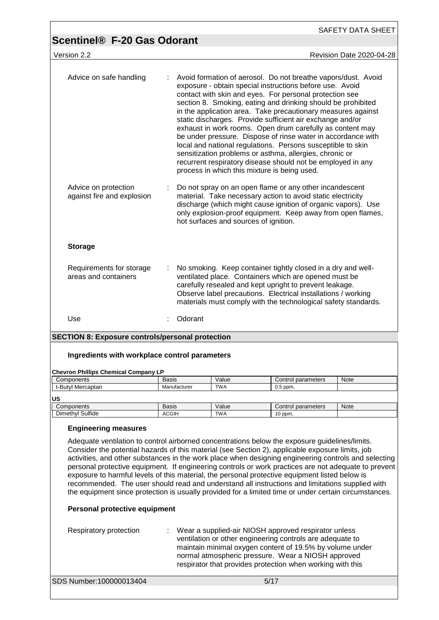| <b>Scentinel® F-20 Gas Odorant</b>                                                                                                                                                                                                                                                                                                                                                                                                                                                                                                                                                                                                                                                                                                                                                                                         |              |                                       |                                                                                                                                                                                                                                                                                                                                                                                                                                                                                                                                                                                                                                                                                                                                                         | <b>SAFETY DATA SHEET</b> |
|----------------------------------------------------------------------------------------------------------------------------------------------------------------------------------------------------------------------------------------------------------------------------------------------------------------------------------------------------------------------------------------------------------------------------------------------------------------------------------------------------------------------------------------------------------------------------------------------------------------------------------------------------------------------------------------------------------------------------------------------------------------------------------------------------------------------------|--------------|---------------------------------------|---------------------------------------------------------------------------------------------------------------------------------------------------------------------------------------------------------------------------------------------------------------------------------------------------------------------------------------------------------------------------------------------------------------------------------------------------------------------------------------------------------------------------------------------------------------------------------------------------------------------------------------------------------------------------------------------------------------------------------------------------------|--------------------------|
| Version 2.2                                                                                                                                                                                                                                                                                                                                                                                                                                                                                                                                                                                                                                                                                                                                                                                                                |              |                                       |                                                                                                                                                                                                                                                                                                                                                                                                                                                                                                                                                                                                                                                                                                                                                         | Revision Date 2020-04-28 |
| Advice on safe handling                                                                                                                                                                                                                                                                                                                                                                                                                                                                                                                                                                                                                                                                                                                                                                                                    |              |                                       | Avoid formation of aerosol. Do not breathe vapors/dust. Avoid<br>exposure - obtain special instructions before use. Avoid<br>contact with skin and eyes. For personal protection see<br>section 8. Smoking, eating and drinking should be prohibited<br>in the application area. Take precautionary measures against<br>static discharges. Provide sufficient air exchange and/or<br>exhaust in work rooms. Open drum carefully as content may<br>be under pressure. Dispose of rinse water in accordance with<br>local and national regulations. Persons susceptible to skin<br>sensitization problems or asthma, allergies, chronic or<br>recurrent respiratory disease should not be employed in any<br>process in which this mixture is being used. |                          |
| Advice on protection<br>against fire and explosion                                                                                                                                                                                                                                                                                                                                                                                                                                                                                                                                                                                                                                                                                                                                                                         |              | hot surfaces and sources of ignition. | Do not spray on an open flame or any other incandescent<br>material. Take necessary action to avoid static electricity<br>discharge (which might cause ignition of organic vapors). Use<br>only explosion-proof equipment. Keep away from open flames,                                                                                                                                                                                                                                                                                                                                                                                                                                                                                                  |                          |
| <b>Storage</b>                                                                                                                                                                                                                                                                                                                                                                                                                                                                                                                                                                                                                                                                                                                                                                                                             |              |                                       |                                                                                                                                                                                                                                                                                                                                                                                                                                                                                                                                                                                                                                                                                                                                                         |                          |
| Requirements for storage<br>areas and containers                                                                                                                                                                                                                                                                                                                                                                                                                                                                                                                                                                                                                                                                                                                                                                           | ÷            |                                       | No smoking. Keep container tightly closed in a dry and well-<br>ventilated place. Containers which are opened must be<br>carefully resealed and kept upright to prevent leakage.<br>Observe label precautions. Electrical installations / working<br>materials must comply with the technological safety standards.                                                                                                                                                                                                                                                                                                                                                                                                                                     |                          |
|                                                                                                                                                                                                                                                                                                                                                                                                                                                                                                                                                                                                                                                                                                                                                                                                                            |              |                                       |                                                                                                                                                                                                                                                                                                                                                                                                                                                                                                                                                                                                                                                                                                                                                         |                          |
| Use                                                                                                                                                                                                                                                                                                                                                                                                                                                                                                                                                                                                                                                                                                                                                                                                                        | Odorant      |                                       |                                                                                                                                                                                                                                                                                                                                                                                                                                                                                                                                                                                                                                                                                                                                                         |                          |
| <b>SECTION 8: Exposure controls/personal protection</b>                                                                                                                                                                                                                                                                                                                                                                                                                                                                                                                                                                                                                                                                                                                                                                    |              |                                       |                                                                                                                                                                                                                                                                                                                                                                                                                                                                                                                                                                                                                                                                                                                                                         |                          |
| Ingredients with workplace control parameters                                                                                                                                                                                                                                                                                                                                                                                                                                                                                                                                                                                                                                                                                                                                                                              |              |                                       |                                                                                                                                                                                                                                                                                                                                                                                                                                                                                                                                                                                                                                                                                                                                                         |                          |
| <b>Chevron Phillips Chemical Company LP</b>                                                                                                                                                                                                                                                                                                                                                                                                                                                                                                                                                                                                                                                                                                                                                                                |              |                                       |                                                                                                                                                                                                                                                                                                                                                                                                                                                                                                                                                                                                                                                                                                                                                         |                          |
| Components                                                                                                                                                                                                                                                                                                                                                                                                                                                                                                                                                                                                                                                                                                                                                                                                                 | <b>Basis</b> | Value                                 | Control parameters                                                                                                                                                                                                                                                                                                                                                                                                                                                                                                                                                                                                                                                                                                                                      | Note                     |
| t-Butyl Mercaptan                                                                                                                                                                                                                                                                                                                                                                                                                                                                                                                                                                                                                                                                                                                                                                                                          | Manufacturer | <b>TWA</b>                            | $0.5$ ppm,                                                                                                                                                                                                                                                                                                                                                                                                                                                                                                                                                                                                                                                                                                                                              |                          |
| US                                                                                                                                                                                                                                                                                                                                                                                                                                                                                                                                                                                                                                                                                                                                                                                                                         | <b>Basis</b> |                                       |                                                                                                                                                                                                                                                                                                                                                                                                                                                                                                                                                                                                                                                                                                                                                         |                          |
| Components<br>Dimethyl Sulfide                                                                                                                                                                                                                                                                                                                                                                                                                                                                                                                                                                                                                                                                                                                                                                                             | <b>ACGIH</b> | Value<br><b>TWA</b>                   | Control parameters<br>10 ppm,                                                                                                                                                                                                                                                                                                                                                                                                                                                                                                                                                                                                                                                                                                                           | Note                     |
| <b>Engineering measures</b><br>Adequate ventilation to control airborned concentrations below the exposure quidelines/limits.<br>Consider the potential hazards of this material (see Section 2), applicable exposure limits, job<br>activities, and other substances in the work place when designing engineering controls and selecting<br>personal protective equipment. If engineering controls or work practices are not adequate to prevent<br>exposure to harmful levels of this material, the personal protective equipment listed below is<br>recommended. The user should read and understand all instructions and limitations supplied with<br>the equipment since protection is usually provided for a limited time or under certain circumstances.<br>Personal protective equipment<br>Respiratory protection |              |                                       | Wear a supplied-air NIOSH approved respirator unless<br>ventilation or other engineering controls are adequate to<br>maintain minimal oxygen content of 19.5% by volume under<br>normal atmospheric pressure. Wear a NIOSH approved<br>respirator that provides protection when working with this                                                                                                                                                                                                                                                                                                                                                                                                                                                       |                          |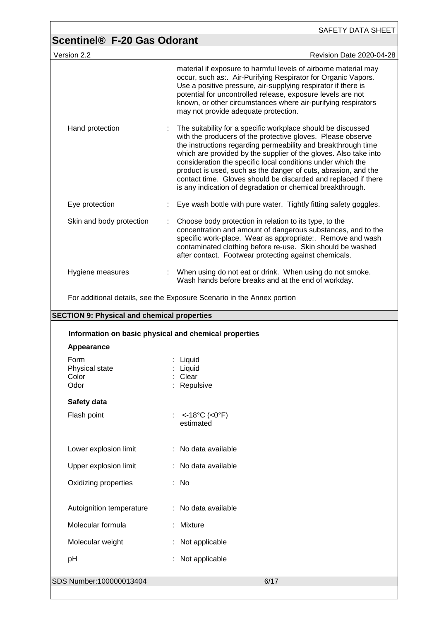|                                                       | <b>Scentinel® F-20 Gas Odorant</b>                                                                                                                                                                                                                                                                                                                                                                                                                                                                                                |
|-------------------------------------------------------|-----------------------------------------------------------------------------------------------------------------------------------------------------------------------------------------------------------------------------------------------------------------------------------------------------------------------------------------------------------------------------------------------------------------------------------------------------------------------------------------------------------------------------------|
| Version 2.2                                           | Revision Date 2020-04-28                                                                                                                                                                                                                                                                                                                                                                                                                                                                                                          |
|                                                       | material if exposure to harmful levels of airborne material may<br>occur, such as:. Air-Purifying Respirator for Organic Vapors.<br>Use a positive pressure, air-supplying respirator if there is<br>potential for uncontrolled release, exposure levels are not<br>known, or other circumstances where air-purifying respirators<br>may not provide adequate protection.                                                                                                                                                         |
| Hand protection                                       | The suitability for a specific workplace should be discussed<br>with the producers of the protective gloves. Please observe<br>the instructions regarding permeability and breakthrough time<br>which are provided by the supplier of the gloves. Also take into<br>consideration the specific local conditions under which the<br>product is used, such as the danger of cuts, abrasion, and the<br>contact time. Gloves should be discarded and replaced if there<br>is any indication of degradation or chemical breakthrough. |
| Eye protection                                        | Eye wash bottle with pure water. Tightly fitting safety goggles.                                                                                                                                                                                                                                                                                                                                                                                                                                                                  |
| Skin and body protection                              | Choose body protection in relation to its type, to the<br>concentration and amount of dangerous substances, and to the<br>specific work-place. Wear as appropriate:. Remove and wash<br>contaminated clothing before re-use. Skin should be washed<br>after contact. Footwear protecting against chemicals.                                                                                                                                                                                                                       |
| Hygiene measures                                      | When using do not eat or drink. When using do not smoke.<br>Wash hands before breaks and at the end of workday.                                                                                                                                                                                                                                                                                                                                                                                                                   |
|                                                       | For additional details, see the Exposure Scenario in the Annex portion                                                                                                                                                                                                                                                                                                                                                                                                                                                            |
| <b>SECTION 9: Physical and chemical properties</b>    |                                                                                                                                                                                                                                                                                                                                                                                                                                                                                                                                   |
|                                                       |                                                                                                                                                                                                                                                                                                                                                                                                                                                                                                                                   |
| Information on basic physical and chemical properties |                                                                                                                                                                                                                                                                                                                                                                                                                                                                                                                                   |
| Appearance                                            |                                                                                                                                                                                                                                                                                                                                                                                                                                                                                                                                   |
| Form<br>Physical state<br>Color<br>Odor               | Liquid<br>Liquid<br>Clear<br>Repulsive                                                                                                                                                                                                                                                                                                                                                                                                                                                                                            |
| Safety data                                           |                                                                                                                                                                                                                                                                                                                                                                                                                                                                                                                                   |
| Flash point                                           | <-18°C (<0°F)<br>estimated                                                                                                                                                                                                                                                                                                                                                                                                                                                                                                        |
| Lower explosion limit                                 | : No data available                                                                                                                                                                                                                                                                                                                                                                                                                                                                                                               |
| Upper explosion limit                                 | : No data available                                                                                                                                                                                                                                                                                                                                                                                                                                                                                                               |
| Oxidizing properties                                  | : No                                                                                                                                                                                                                                                                                                                                                                                                                                                                                                                              |
| Autoignition temperature                              | : No data available                                                                                                                                                                                                                                                                                                                                                                                                                                                                                                               |
| Molecular formula                                     | Mixture                                                                                                                                                                                                                                                                                                                                                                                                                                                                                                                           |
| Molecular weight                                      | Not applicable                                                                                                                                                                                                                                                                                                                                                                                                                                                                                                                    |
| pH                                                    | Not applicable                                                                                                                                                                                                                                                                                                                                                                                                                                                                                                                    |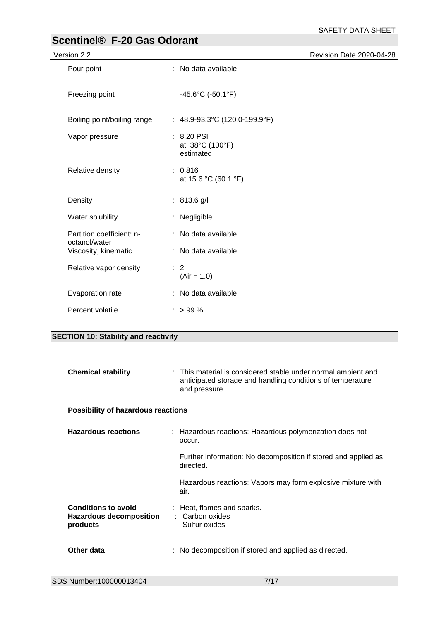| Scentinel® F-20 Gas Odorant                                              | <b>SAFETY DATA SHEET</b>                                                                                                                   |
|--------------------------------------------------------------------------|--------------------------------------------------------------------------------------------------------------------------------------------|
| Version 2.2                                                              | Revision Date 2020-04-28                                                                                                                   |
| Pour point                                                               | : No data available                                                                                                                        |
| Freezing point                                                           | $-45.6^{\circ}$ C (-50.1 $^{\circ}$ F)                                                                                                     |
| Boiling point/boiling range                                              | : 48.9-93.3°C (120.0-199.9°F)                                                                                                              |
| Vapor pressure                                                           | : 8.20 PSI<br>at 38°C (100°F)<br>estimated                                                                                                 |
| Relative density                                                         | : 0.816<br>at 15.6 °C (60.1 °F)                                                                                                            |
| Density                                                                  | $: 813.6$ g/l                                                                                                                              |
| Water solubility                                                         | : Negligible                                                                                                                               |
| Partition coefficient: n-                                                | : No data available                                                                                                                        |
| octanol/water<br>Viscosity, kinematic                                    | : No data available                                                                                                                        |
| Relative vapor density                                                   | $\therefore$ 2<br>$(Air = 1.0)$                                                                                                            |
| Evaporation rate                                                         | : No data available                                                                                                                        |
| Percent volatile                                                         | $:$ > 99 %                                                                                                                                 |
| <b>SECTION 10: Stability and reactivity</b>                              |                                                                                                                                            |
| <b>Chemical stability</b>                                                | This material is considered stable under normal ambient and<br>anticipated storage and handling conditions of temperature<br>and pressure. |
| Possibility of hazardous reactions                                       |                                                                                                                                            |
| <b>Hazardous reactions</b>                                               | : Hazardous reactions: Hazardous polymerization does not<br>occur.                                                                         |
|                                                                          | Further information: No decomposition if stored and applied as<br>directed.                                                                |
|                                                                          | Hazardous reactions: Vapors may form explosive mixture with<br>air.                                                                        |
| <b>Conditions to avoid</b><br><b>Hazardous decomposition</b><br>products | : Heat, flames and sparks.<br>: Carbon oxides<br>Sulfur oxides                                                                             |
| Other data                                                               | : No decomposition if stored and applied as directed.                                                                                      |
| SDS Number: 100000013404                                                 | 7/17                                                                                                                                       |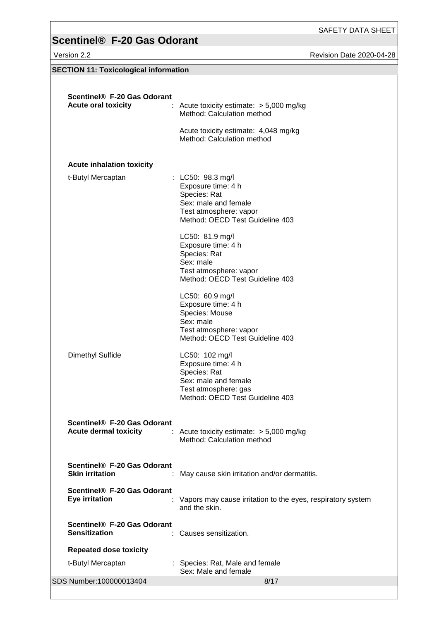Version 2.2 **All 2020-04-28** Revision Date 2020-04-28

| <b>SECTION 11: Toxicological information</b>                |                                                                                                                                              |
|-------------------------------------------------------------|----------------------------------------------------------------------------------------------------------------------------------------------|
|                                                             |                                                                                                                                              |
| Scentinel® F-20 Gas Odorant<br><b>Acute oral toxicity</b>   | : Acute toxicity estimate: $>$ 5,000 mg/kg<br>Method: Calculation method                                                                     |
|                                                             | Acute toxicity estimate: 4,048 mg/kg<br>Method: Calculation method                                                                           |
| <b>Acute inhalation toxicity</b>                            |                                                                                                                                              |
| t-Butyl Mercaptan                                           | : LC50: 98.3 mg/l<br>Exposure time: 4 h<br>Species: Rat<br>Sex: male and female<br>Test atmosphere: vapor<br>Method: OECD Test Guideline 403 |
|                                                             | LC50: 81.9 mg/l<br>Exposure time: 4 h<br>Species: Rat<br>Sex: male<br>Test atmosphere: vapor<br>Method: OECD Test Guideline 403              |
|                                                             | LC50: 60.9 mg/l<br>Exposure time: 4 h<br>Species: Mouse<br>Sex: male<br>Test atmosphere: vapor<br>Method: OECD Test Guideline 403            |
| Dimethyl Sulfide                                            | LC50: 102 mg/l<br>Exposure time: 4 h<br>Species: Rat<br>Sex: male and female<br>Test atmosphere: gas<br>Method: OECD Test Guideline 403      |
| Scentinel® F-20 Gas Odorant<br><b>Acute dermal toxicity</b> | : Acute toxicity estimate: $> 5,000$ mg/kg<br>Method: Calculation method                                                                     |
| Scentinel® F-20 Gas Odorant<br><b>Skin irritation</b>       | May cause skin irritation and/or dermatitis.                                                                                                 |
| Scentinel® F-20 Gas Odorant<br>Eye irritation               | Vapors may cause irritation to the eyes, respiratory system<br>and the skin.                                                                 |
| Scentinel® F-20 Gas Odorant<br><b>Sensitization</b>         | Causes sensitization.                                                                                                                        |
| <b>Repeated dose toxicity</b>                               |                                                                                                                                              |
| t-Butyl Mercaptan                                           | : Species: Rat, Male and female<br>Sex: Male and female                                                                                      |

SDS Number:100000013404 8/17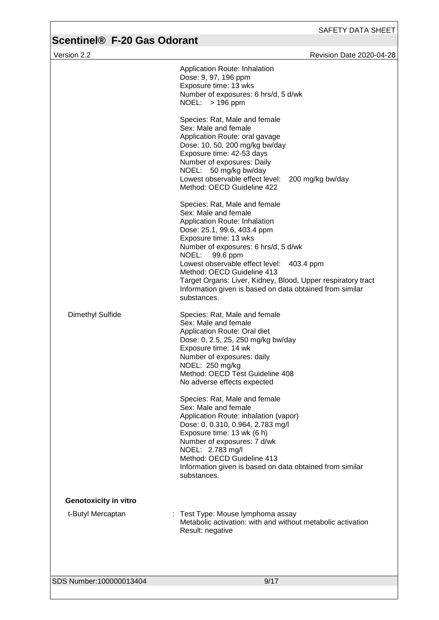| Version 2.2                  |                                                                                                                                                                                                                                                                                                                                                                                                                                                                                                | <b>Revision Date 2020-04-28</b> |
|------------------------------|------------------------------------------------------------------------------------------------------------------------------------------------------------------------------------------------------------------------------------------------------------------------------------------------------------------------------------------------------------------------------------------------------------------------------------------------------------------------------------------------|---------------------------------|
|                              | Application Route: Inhalation<br>Dose: 9, 97, 196 ppm<br>Exposure time: 13 wks<br>Number of exposures: 6 hrs/d, 5 d/wk<br>NOEL: > 196 ppm                                                                                                                                                                                                                                                                                                                                                      |                                 |
|                              | Species: Rat, Male and female<br>Sex: Male and female<br>Application Route: oral gavage<br>Dose: 10, 50, 200 mg/kg bw/day<br>Exposure time: 42-53 days<br>Number of exposures: Daily<br>NOEL: 50 mg/kg bw/day<br>Lowest observable effect level:<br>Method: OECD Guideline 422                                                                                                                                                                                                                 | 200 mg/kg bw/day                |
|                              | Species: Rat, Male and female<br>Sex: Male and female<br>Application Route: Inhalation<br>Dose: 25.1, 99.6, 403.4 ppm<br>Exposure time: 13 wks<br>Number of exposures: 6 hrs/d, 5 d/wk<br>NOEL:<br>99.6 ppm<br>Lowest observable effect level: 403.4 ppm<br>Method: OECD Guideline 413<br>Target Organs: Liver, Kidney, Blood, Upper respiratory tract<br>Information given is based on data obtained from similar<br>substances.                                                              |                                 |
| <b>Dimethyl Sulfide</b>      | Species: Rat, Male and female<br>Sex: Male and female<br>Application Route: Oral diet<br>Dose: 0, 2.5, 25, 250 mg/kg bw/day<br>Exposure time: 14 wk<br>Number of exposures: daily<br>NOEL: 250 mg/kg<br>Method: OECD Test Guideline 408<br>No adverse effects expected<br>Species: Rat, Male and female<br>Sex: Male and female<br>Application Route: inhalation (vapor)<br>Dose: 0, 0.310, 0.964, 2.783 mg/l<br>Exposure time: 13 wk (6 h)<br>Number of exposures: 7 d/wk<br>NOEL: 2.783 mg/l |                                 |
| <b>Genotoxicity in vitro</b> | Method: OECD Guideline 413<br>Information given is based on data obtained from similar<br>substances.                                                                                                                                                                                                                                                                                                                                                                                          |                                 |
|                              |                                                                                                                                                                                                                                                                                                                                                                                                                                                                                                |                                 |
| t-Butyl Mercaptan            | Test Type: Mouse lymphoma assay<br>Metabolic activation: with and without metabolic activation<br>Result: negative                                                                                                                                                                                                                                                                                                                                                                             |                                 |
| SDS Number:100000013404      | 9/17                                                                                                                                                                                                                                                                                                                                                                                                                                                                                           |                                 |
|                              |                                                                                                                                                                                                                                                                                                                                                                                                                                                                                                |                                 |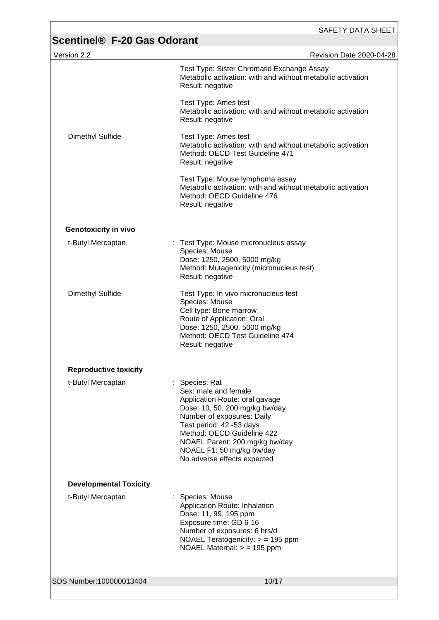| Version 2.2                   | <b>Revision Date 2020-04-28</b>                                                                                                                                                                                                                                                                  |
|-------------------------------|--------------------------------------------------------------------------------------------------------------------------------------------------------------------------------------------------------------------------------------------------------------------------------------------------|
|                               | Test Type: Sister Chromatid Exchange Assay<br>Metabolic activation: with and without metabolic activation<br>Result: negative                                                                                                                                                                    |
|                               | Test Type: Ames test<br>Metabolic activation: with and without metabolic activation<br>Result: negative                                                                                                                                                                                          |
| Dimethyl Sulfide              | Test Type: Ames test<br>Metabolic activation: with and without metabolic activation<br>Method: OECD Test Guideline 471<br>Result: negative                                                                                                                                                       |
|                               | Test Type: Mouse lymphoma assay<br>Metabolic activation: with and without metabolic activation<br>Method: OECD Guideline 476<br>Result: negative                                                                                                                                                 |
| <b>Genotoxicity in vivo</b>   |                                                                                                                                                                                                                                                                                                  |
| t-Butyl Mercaptan             | : Test Type: Mouse micronucleus assay<br>Species: Mouse<br>Dose: 1250, 2500, 5000 mg/kg<br>Method: Mutagenicity (micronucleus test)<br>Result: negative                                                                                                                                          |
| Dimethyl Sulfide              | Test Type: In vivo micronucleus test<br>Species: Mouse<br>Cell type: Bone marrow<br>Route of Application: Oral<br>Dose: 1250, 2500, 5000 mg/kg<br>Method: OECD Test Guideline 474<br>Result: negative                                                                                            |
| <b>Reproductive toxicity</b>  |                                                                                                                                                                                                                                                                                                  |
| t-Butyl Mercaptan             | : Species: Rat<br>Sex: male and female<br>Application Route: oral gavage<br>Dose: 10, 50, 200 mg/kg bw/day<br>Number of exposures: Daily<br>Test period: 42 -53 days<br>Method: OECD Guideline 422<br>NOAEL Parent: 200 mg/kg bw/day<br>NOAEL F1: 50 mg/kg bw/day<br>No adverse effects expected |
| <b>Developmental Toxicity</b> |                                                                                                                                                                                                                                                                                                  |
| t-Butyl Mercaptan             | : Species: Mouse<br>Application Route: Inhalation<br>Dose: 11, 99, 195 ppm<br>Exposure time: GD 6-16<br>Number of exposures: 6 hrs/d<br>NOAEL Teratogenicity: $>$ = 195 ppm<br>NOAEL Maternal: $>$ = 195 ppm                                                                                     |
|                               |                                                                                                                                                                                                                                                                                                  |
| SDS Number:100000013404       | 10/17                                                                                                                                                                                                                                                                                            |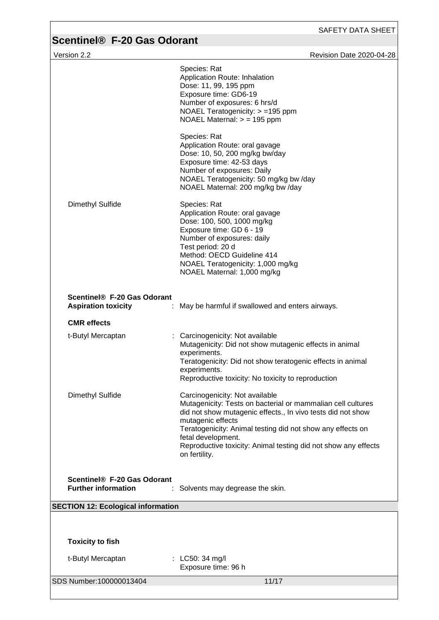# **Scentinel® F-20 Gas Odorant**<br>Version 2.2

| $\frac{1}{2}$                                                         |                                                                                                                                                                                                                                                                                                                                                          |
|-----------------------------------------------------------------------|----------------------------------------------------------------------------------------------------------------------------------------------------------------------------------------------------------------------------------------------------------------------------------------------------------------------------------------------------------|
| Version 2.2                                                           | Revision Date 2020-04-28                                                                                                                                                                                                                                                                                                                                 |
|                                                                       | Species: Rat<br>Application Route: Inhalation<br>Dose: 11, 99, 195 ppm<br>Exposure time: GD6-19<br>Number of exposures: 6 hrs/d<br>NOAEL Teratogenicity: > =195 ppm<br>NOAEL Maternal: $>$ = 195 ppm                                                                                                                                                     |
|                                                                       | Species: Rat<br>Application Route: oral gavage<br>Dose: 10, 50, 200 mg/kg bw/day<br>Exposure time: 42-53 days<br>Number of exposures: Daily<br>NOAEL Teratogenicity: 50 mg/kg bw /day<br>NOAEL Maternal: 200 mg/kg bw /day                                                                                                                               |
| <b>Dimethyl Sulfide</b>                                               | Species: Rat<br>Application Route: oral gavage<br>Dose: 100, 500, 1000 mg/kg<br>Exposure time: GD 6 - 19<br>Number of exposures: daily<br>Test period: 20 d<br>Method: OECD Guideline 414<br>NOAEL Teratogenicity: 1,000 mg/kg<br>NOAEL Maternal: 1,000 mg/kg                                                                                            |
| Scentinel® F-20 Gas Odorant<br><b>Aspiration toxicity</b>             | : May be harmful if swallowed and enters airways.                                                                                                                                                                                                                                                                                                        |
| <b>CMR</b> effects                                                    |                                                                                                                                                                                                                                                                                                                                                          |
| t-Butyl Mercaptan                                                     | : Carcinogenicity: Not available<br>Mutagenicity: Did not show mutagenic effects in animal<br>experiments.<br>Teratogenicity: Did not show teratogenic effects in animal<br>experiments.<br>Reproductive toxicity: No toxicity to reproduction                                                                                                           |
| <b>Dimethyl Sulfide</b>                                               | Carcinogenicity: Not available<br>Mutagenicity: Tests on bacterial or mammalian cell cultures<br>did not show mutagenic effects., In vivo tests did not show<br>mutagenic effects<br>Teratogenicity: Animal testing did not show any effects on<br>fetal development.<br>Reproductive toxicity: Animal testing did not show any effects<br>on fertility. |
| Scentinel <sup>®</sup> F-20 Gas Odorant<br><b>Further information</b> | Solvents may degrease the skin.                                                                                                                                                                                                                                                                                                                          |
| <b>SECTION 12: Ecological information</b>                             |                                                                                                                                                                                                                                                                                                                                                          |
|                                                                       |                                                                                                                                                                                                                                                                                                                                                          |
| <b>Toxicity to fish</b>                                               |                                                                                                                                                                                                                                                                                                                                                          |
| t-Butyl Mercaptan                                                     | : LC50: 34 mg/l<br>Exposure time: 96 h                                                                                                                                                                                                                                                                                                                   |
| SDS Number: 100000013404                                              | 11/17                                                                                                                                                                                                                                                                                                                                                    |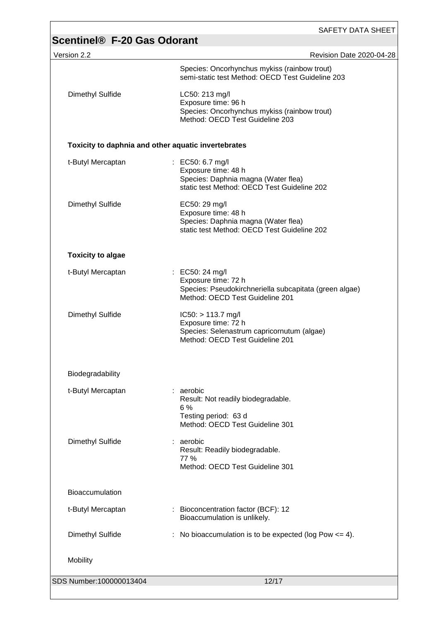| Scentinel <sup>®</sup> F-20 Gas Odorant             | SAFETY DATA SHEET                                                                                                                   |  |  |  |
|-----------------------------------------------------|-------------------------------------------------------------------------------------------------------------------------------------|--|--|--|
| Version 2.2                                         | Revision Date 2020-04-28                                                                                                            |  |  |  |
|                                                     | Species: Oncorhynchus mykiss (rainbow trout)<br>semi-static test Method: OECD Test Guideline 203                                    |  |  |  |
| Dimethyl Sulfide                                    | LC50: 213 mg/l<br>Exposure time: 96 h<br>Species: Oncorhynchus mykiss (rainbow trout)<br>Method: OECD Test Guideline 203            |  |  |  |
| Toxicity to daphnia and other aquatic invertebrates |                                                                                                                                     |  |  |  |
| t-Butyl Mercaptan                                   | : EC50: 6.7 mg/l<br>Exposure time: 48 h<br>Species: Daphnia magna (Water flea)<br>static test Method: OECD Test Guideline 202       |  |  |  |
| <b>Dimethyl Sulfide</b>                             | EC50: 29 mg/l<br>Exposure time: 48 h<br>Species: Daphnia magna (Water flea)<br>static test Method: OECD Test Guideline 202          |  |  |  |
| <b>Toxicity to algae</b>                            |                                                                                                                                     |  |  |  |
| t-Butyl Mercaptan                                   | : EC50: 24 mg/l<br>Exposure time: 72 h<br>Species: Pseudokirchneriella subcapitata (green algae)<br>Method: OECD Test Guideline 201 |  |  |  |
| Dimethyl Sulfide                                    | $IC50: > 113.7$ mg/l<br>Exposure time: 72 h<br>Species: Selenastrum capricornutum (algae)<br>Method: OECD Test Guideline 201        |  |  |  |
| Biodegradability                                    |                                                                                                                                     |  |  |  |
| t-Butyl Mercaptan                                   | : aerobic<br>Result: Not readily biodegradable.<br>6%<br>Testing period: 63 d<br>Method: OECD Test Guideline 301                    |  |  |  |
| Dimethyl Sulfide                                    | : aerobic<br>Result: Readily biodegradable.<br>77 %<br>Method: OECD Test Guideline 301                                              |  |  |  |
| <b>Bioaccumulation</b>                              |                                                                                                                                     |  |  |  |
| t-Butyl Mercaptan                                   | : Bioconcentration factor (BCF): 12<br>Bioaccumulation is unlikely.                                                                 |  |  |  |
| Dimethyl Sulfide                                    | : No bioaccumulation is to be expected (log Pow $\leq$ 4).                                                                          |  |  |  |
| Mobility                                            |                                                                                                                                     |  |  |  |
| SDS Number:100000013404                             | 12/17                                                                                                                               |  |  |  |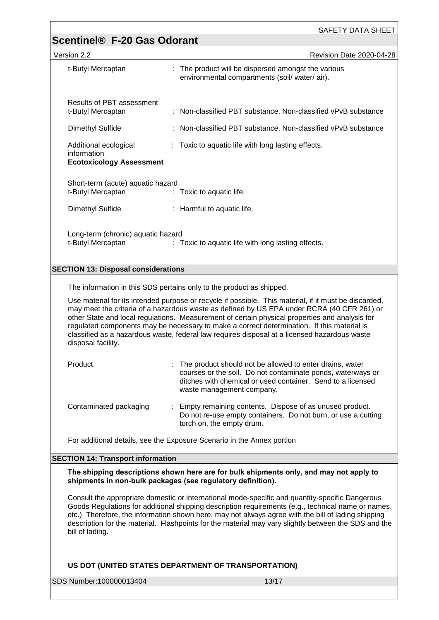| Version 2.2                                                                                                                                                                                         | Revision Date 2020-04-28                                                                            |  |  |  |
|-----------------------------------------------------------------------------------------------------------------------------------------------------------------------------------------------------|-----------------------------------------------------------------------------------------------------|--|--|--|
| t-Butyl Mercaptan                                                                                                                                                                                   | : The product will be dispersed amongst the various<br>environmental compartments (soil/water/air). |  |  |  |
| Results of PBT assessment<br>t-Butyl Mercaptan                                                                                                                                                      | : Non-classified PBT substance, Non-classified vPvB substance                                       |  |  |  |
| Dimethyl Sulfide                                                                                                                                                                                    | : Non-classified PBT substance, Non-classified vPvB substance                                       |  |  |  |
| Additional ecological<br>information<br><b>Ecotoxicology Assessment</b>                                                                                                                             | : Toxic to aquatic life with long lasting effects.                                                  |  |  |  |
| Short-term (acute) aquatic hazard<br>t-Butyl Mercaptan                                                                                                                                              | : Toxic to aquatic life.                                                                            |  |  |  |
| Dimethyl Sulfide                                                                                                                                                                                    | : Harmful to aquatic life.                                                                          |  |  |  |
| Long-term (chronic) aquatic hazard<br>t-Butyl Mercaptan<br>: Toxic to aquatic life with long lasting effects.                                                                                       |                                                                                                     |  |  |  |
| <b>SECTION 13: Disposal considerations</b>                                                                                                                                                          |                                                                                                     |  |  |  |
| The information in this SDS pertains only to the product as shipped.                                                                                                                                |                                                                                                     |  |  |  |
| Use material for its intended purpose or recycle if possible. This material, if it must be discarded,<br>may meet the criteria of a hazardous waste as defined by US EPA under RCRA (40 CER 261) or |                                                                                                     |  |  |  |

may meet the criteria of a hazardous waste as defined by US EPA under RCRA (40 CFR 261) or other State and local regulations. Measurement of certain physical properties and analysis for regulated components may be necessary to make a correct determination. If this material is classified as a hazardous waste, federal law requires disposal at a licensed hazardous waste disposal facility.

| Product                | : The product should not be allowed to enter drains, water<br>courses or the soil. Do not contaminate ponds, waterways or<br>ditches with chemical or used container. Send to a licensed<br>waste management company. |
|------------------------|-----------------------------------------------------------------------------------------------------------------------------------------------------------------------------------------------------------------------|
| Contaminated packaging | : Empty remaining contents. Dispose of as unused product.<br>Do not re-use empty containers. Do not burn, or use a cutting<br>torch on, the empty drum.                                                               |

For additional details, see the Exposure Scenario in the Annex portion

#### **SECTION 14: Transport information**

**The shipping descriptions shown here are for bulk shipments only, and may not apply to shipments in non-bulk packages (see regulatory definition).**

Consult the appropriate domestic or international mode-specific and quantity-specific Dangerous Goods Regulations for additional shipping description requirements (e.g., technical name or names, etc.) Therefore, the information shown here, may not always agree with the bill of lading shipping description for the material. Flashpoints for the material may vary slightly between the SDS and the bill of lading.

#### **US DOT (UNITED STATES DEPARTMENT OF TRANSPORTATION)**

SDS Number:100000013404 13/17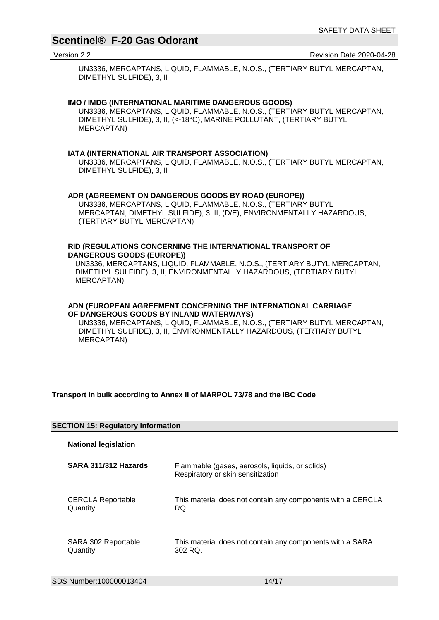Version 2.2 Revision Date 2020-04-28

UN3336, MERCAPTANS, LIQUID, FLAMMABLE, N.O.S., (TERTIARY BUTYL MERCAPTAN, DIMETHYL SULFIDE), 3, II

| IMO / IMDG (INTERNATIONAL MARITIME DANGEROUS GOODS)<br>UN3336, MERCAPTANS, LIQUID, FLAMMABLE, N.O.S., (TERTIARY BUTYL MERCAPTAN,<br>DIMETHYL SULFIDE), 3, II, (<-18°C), MARINE POLLUTANT, (TERTIARY BUTYL<br>MERCAPTAN)                                                     |                                                                                                                                                   |  |  |  |  |  |
|-----------------------------------------------------------------------------------------------------------------------------------------------------------------------------------------------------------------------------------------------------------------------------|---------------------------------------------------------------------------------------------------------------------------------------------------|--|--|--|--|--|
| DIMETHYL SULFIDE), 3, II                                                                                                                                                                                                                                                    | IATA (INTERNATIONAL AIR TRANSPORT ASSOCIATION)<br>UN3336, MERCAPTANS, LIQUID, FLAMMABLE, N.O.S., (TERTIARY BUTYL MERCAPTAN,                       |  |  |  |  |  |
| ADR (AGREEMENT ON DANGEROUS GOODS BY ROAD (EUROPE))<br>UN3336, MERCAPTANS, LIQUID, FLAMMABLE, N.O.S., (TERTIARY BUTYL<br>MERCAPTAN, DIMETHYL SULFIDE), 3, II, (D/E), ENVIRONMENTALLY HAZARDOUS,<br>(TERTIARY BUTYL MERCAPTAN)                                               |                                                                                                                                                   |  |  |  |  |  |
|                                                                                                                                                                                                                                                                             | RID (REGULATIONS CONCERNING THE INTERNATIONAL TRANSPORT OF                                                                                        |  |  |  |  |  |
| <b>DANGEROUS GOODS (EUROPE))</b>                                                                                                                                                                                                                                            |                                                                                                                                                   |  |  |  |  |  |
| MERCAPTAN)                                                                                                                                                                                                                                                                  | UN3336, MERCAPTANS, LIQUID, FLAMMABLE, N.O.S., (TERTIARY BUTYL MERCAPTAN,<br>DIMETHYL SULFIDE), 3, II, ENVIRONMENTALLY HAZARDOUS, (TERTIARY BUTYL |  |  |  |  |  |
| ADN (EUROPEAN AGREEMENT CONCERNING THE INTERNATIONAL CARRIAGE<br>OF DANGEROUS GOODS BY INLAND WATERWAYS)<br>UN3336, MERCAPTANS, LIQUID, FLAMMABLE, N.O.S., (TERTIARY BUTYL MERCAPTAN,<br>DIMETHYL SULFIDE), 3, II, ENVIRONMENTALLY HAZARDOUS, (TERTIARY BUTYL<br>MERCAPTAN) |                                                                                                                                                   |  |  |  |  |  |
|                                                                                                                                                                                                                                                                             |                                                                                                                                                   |  |  |  |  |  |
|                                                                                                                                                                                                                                                                             |                                                                                                                                                   |  |  |  |  |  |
|                                                                                                                                                                                                                                                                             | Transport in bulk according to Annex II of MARPOL 73/78 and the IBC Code                                                                          |  |  |  |  |  |
|                                                                                                                                                                                                                                                                             |                                                                                                                                                   |  |  |  |  |  |
| <b>SECTION 15: Regulatory information</b>                                                                                                                                                                                                                                   |                                                                                                                                                   |  |  |  |  |  |
| <b>National legislation</b>                                                                                                                                                                                                                                                 |                                                                                                                                                   |  |  |  |  |  |
| SARA 311/312 Hazards                                                                                                                                                                                                                                                        | : Flammable (gases, aerosols, liquids, or solids)<br>Respiratory or skin sensitization                                                            |  |  |  |  |  |
| <b>CERCLA Reportable</b><br>Quantity                                                                                                                                                                                                                                        | : This material does not contain any components with a CERCLA<br>RQ.                                                                              |  |  |  |  |  |
| SARA 302 Reportable<br>Quantity                                                                                                                                                                                                                                             | : This material does not contain any components with a SARA<br>302 RQ.                                                                            |  |  |  |  |  |
| SDS Number: 100000013404                                                                                                                                                                                                                                                    | 14/17                                                                                                                                             |  |  |  |  |  |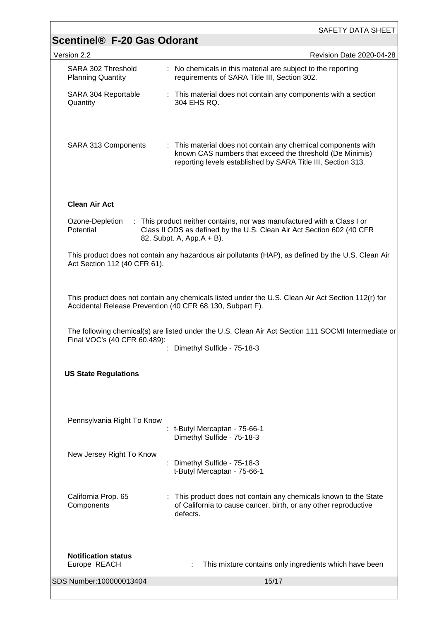|                                                                                                                                                                 | SAFETY DATA SHEET                                                                                                                                                                         |  |  |
|-----------------------------------------------------------------------------------------------------------------------------------------------------------------|-------------------------------------------------------------------------------------------------------------------------------------------------------------------------------------------|--|--|
| <b>Scentinel® F-20 Gas Odorant</b>                                                                                                                              |                                                                                                                                                                                           |  |  |
| Version 2.2                                                                                                                                                     | Revision Date 2020-04-28                                                                                                                                                                  |  |  |
| SARA 302 Threshold<br><b>Planning Quantity</b>                                                                                                                  | : No chemicals in this material are subject to the reporting<br>requirements of SARA Title III, Section 302.                                                                              |  |  |
| SARA 304 Reportable<br>Quantity                                                                                                                                 | : This material does not contain any components with a section<br>304 EHS RQ.                                                                                                             |  |  |
| SARA 313 Components                                                                                                                                             | : This material does not contain any chemical components with<br>known CAS numbers that exceed the threshold (De Minimis)<br>reporting levels established by SARA Title III, Section 313. |  |  |
| <b>Clean Air Act</b>                                                                                                                                            |                                                                                                                                                                                           |  |  |
| Ozone-Depletion<br>Potential                                                                                                                                    | : This product neither contains, nor was manufactured with a Class I or<br>Class II ODS as defined by the U.S. Clean Air Act Section 602 (40 CFR<br>82, Subpt. A, App. A + B).            |  |  |
| Act Section 112 (40 CFR 61).                                                                                                                                    | This product does not contain any hazardous air pollutants (HAP), as defined by the U.S. Clean Air                                                                                        |  |  |
| This product does not contain any chemicals listed under the U.S. Clean Air Act Section 112(r) for<br>Accidental Release Prevention (40 CFR 68.130, Subpart F). |                                                                                                                                                                                           |  |  |
| Final VOC's (40 CFR 60.489):                                                                                                                                    | The following chemical(s) are listed under the U.S. Clean Air Act Section 111 SOCMI Intermediate or<br>Dimethyl Sulfide - 75-18-3                                                         |  |  |
| <b>US State Regulations</b>                                                                                                                                     |                                                                                                                                                                                           |  |  |
| Pennsylvania Right To Know                                                                                                                                      | : t-Butyl Mercaptan - 75-66-1<br>Dimethyl Sulfide - 75-18-3                                                                                                                               |  |  |
| New Jersey Right To Know                                                                                                                                        | : Dimethyl Sulfide - 75-18-3<br>t-Butyl Mercaptan - 75-66-1                                                                                                                               |  |  |
| California Prop. 65<br>Components                                                                                                                               | : This product does not contain any chemicals known to the State<br>of California to cause cancer, birth, or any other reproductive<br>defects.                                           |  |  |
| <b>Notification status</b><br>Europe REACH                                                                                                                      | This mixture contains only ingredients which have been                                                                                                                                    |  |  |
| SDS Number:100000013404                                                                                                                                         | 15/17                                                                                                                                                                                     |  |  |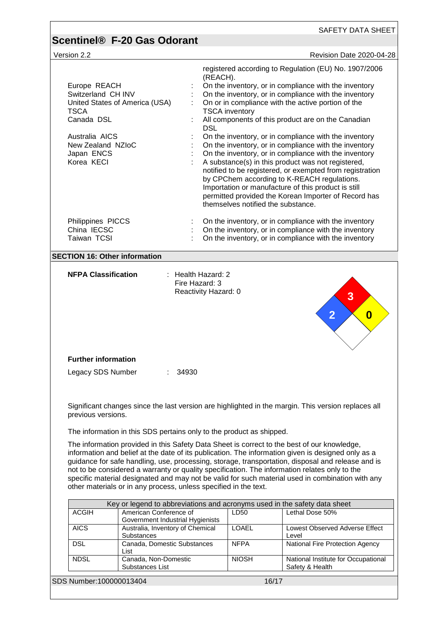| Version 2.2                                                                                       | Revision Date 2020-04-28                                                                                                                                                                                                                                                                                                                                                                                                                                                                                                                                                                                                                                |
|---------------------------------------------------------------------------------------------------|---------------------------------------------------------------------------------------------------------------------------------------------------------------------------------------------------------------------------------------------------------------------------------------------------------------------------------------------------------------------------------------------------------------------------------------------------------------------------------------------------------------------------------------------------------------------------------------------------------------------------------------------------------|
| Europe REACH<br>Switzerland CH INV<br>United States of America (USA)<br><b>TSCA</b><br>Canada DSL | registered according to Regulation (EU) No. 1907/2006<br>(REACH).<br>On the inventory, or in compliance with the inventory<br>On the inventory, or in compliance with the inventory<br>On or in compliance with the active portion of the<br><b>TSCA</b> inventory<br>All components of this product are on the Canadian<br><b>DSL</b>                                                                                                                                                                                                                                                                                                                  |
| Australia AICS<br>New Zealand NZIoC<br>Japan ENCS<br>Korea KECI                                   | On the inventory, or in compliance with the inventory<br>On the inventory, or in compliance with the inventory<br>On the inventory, or in compliance with the inventory<br>A substance(s) in this product was not registered,<br>notified to be registered, or exempted from registration<br>by CPChem according to K-REACH regulations.<br>Importation or manufacture of this product is still<br>permitted provided the Korean Importer of Record has<br>themselves notified the substance.                                                                                                                                                           |
| Philippines PICCS<br>China IECSC<br>Taiwan TCSI                                                   | On the inventory, or in compliance with the inventory<br>On the inventory, or in compliance with the inventory<br>On the inventory, or in compliance with the inventory                                                                                                                                                                                                                                                                                                                                                                                                                                                                                 |
| <b>SECTION 16: Other information</b>                                                              |                                                                                                                                                                                                                                                                                                                                                                                                                                                                                                                                                                                                                                                         |
|                                                                                                   | $\overline{2}$<br>$\boldsymbol{0}$                                                                                                                                                                                                                                                                                                                                                                                                                                                                                                                                                                                                                      |
| <b>Further information</b>                                                                        |                                                                                                                                                                                                                                                                                                                                                                                                                                                                                                                                                                                                                                                         |
| Legacy SDS Number                                                                                 | : 34930                                                                                                                                                                                                                                                                                                                                                                                                                                                                                                                                                                                                                                                 |
|                                                                                                   | Significant changes since the last version are highlighted in the margin. This version replaces all                                                                                                                                                                                                                                                                                                                                                                                                                                                                                                                                                     |
| previous versions.                                                                                |                                                                                                                                                                                                                                                                                                                                                                                                                                                                                                                                                                                                                                                         |
|                                                                                                   | The information in this SDS pertains only to the product as shipped.<br>The information provided in this Safety Data Sheet is correct to the best of our knowledge,<br>information and belief at the date of its publication. The information given is designed only as a<br>guidance for safe handling, use, processing, storage, transportation, disposal and release and is<br>not to be considered a warranty or quality specification. The information relates only to the<br>specific material designated and may not be valid for such material used in combination with any<br>other materials or in any process, unless specified in the text. |
|                                                                                                   | Key or legend to abbreviations and acronyms used in the safety data sheet                                                                                                                                                                                                                                                                                                                                                                                                                                                                                                                                                                               |
| <b>ACGIH</b>                                                                                      | American Conference of<br>Lethal Dose 50%<br>LD50                                                                                                                                                                                                                                                                                                                                                                                                                                                                                                                                                                                                       |
| <b>AICS</b><br>Substances                                                                         | Government Industrial Hygienists<br><b>LOAEL</b><br>Australia, Inventory of Chemical<br>Level                                                                                                                                                                                                                                                                                                                                                                                                                                                                                                                                                           |
| <b>DSL</b><br>List                                                                                | Canada, Domestic Substances<br><b>NFPA</b><br>National Fire Protection Agency                                                                                                                                                                                                                                                                                                                                                                                                                                                                                                                                                                           |
| <b>NDSL</b>                                                                                       | Lowest Observed Adverse Effect<br>Canada, Non-Domestic<br><b>NIOSH</b><br>National Institute for Occupational<br>Substances List<br>Safety & Health                                                                                                                                                                                                                                                                                                                                                                                                                                                                                                     |